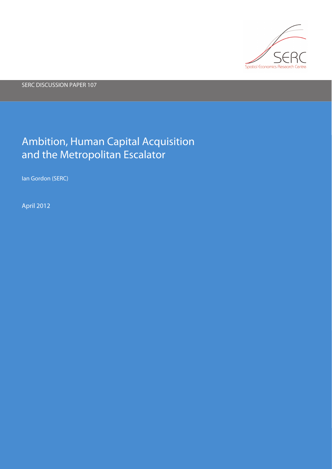

SERC DISCUSSION PAPER 107

# **Ambition, Human Capital Acquisition and the Metropolitan Escalator**

Ian Gordon (SERC)

**April 2012**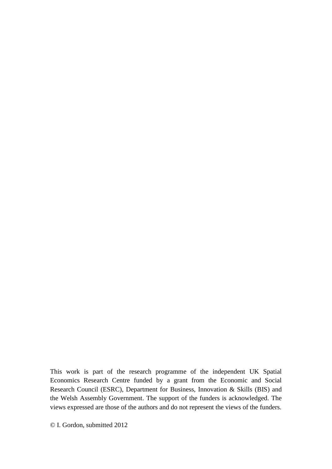This work is part of the research programme of the independent UK Spatial Economics Research Centre funded by a grant from the Economic and Social Research Council (ESRC), Department for Business, Innovation & Skills (BIS) and the Welsh Assembly Government. The support of the funders is acknowledged. The views expressed are those of the authors and do not represent the views of the funders.

© I. Gordon, submitted 2012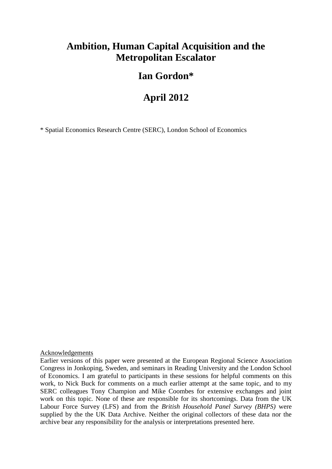## **Ambition, Human Capital Acquisition and the Metropolitan Escalator**

## **Ian Gordon\***

## **April 2012**

\* Spatial Economics Research Centre (SERC), London School of Economics

## Acknowledgements

Earlier versions of this paper were presented at the European Regional Science Association Congress in Jonkoping, Sweden, and seminars in Reading University and the London School of Economics. I am grateful to participants in these sessions for helpful comments on this work, to Nick Buck for comments on a much earlier attempt at the same topic, and to my SERC colleagues Tony Champion and Mike Coombes for extensive exchanges and joint work on this topic. None of these are responsible for its shortcomings. Data from the UK Labour Force Survey (LFS) and from the *British Household Panel Survey (BHPS)* were supplied by the the UK Data Archive. Neither the original collectors of these data nor the archive bear any responsibility for the analysis or interpretations presented here.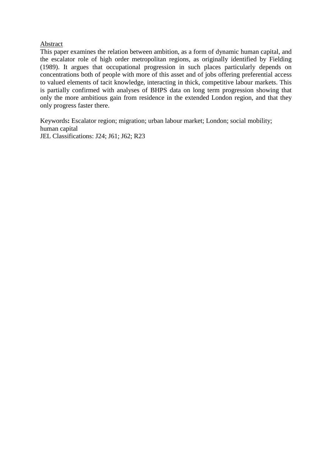## Abstract

This paper examines the relation between ambition, as a form of dynamic human capital, and the escalator role of high order metropolitan regions, as originally identified by Fielding (1989). It argues that occupational progression in such places particularly depends on concentrations both of people with more of this asset and of jobs offering preferential access to valued elements of tacit knowledge, interacting in thick, competitive labour markets. This is partially confirmed with analyses of BHPS data on long term progression showing that only the more ambitious gain from residence in the extended London region, and that they only progress faster there.

Keywords**:** Escalator region; migration; urban labour market; London; social mobility; human capital JEL Classifications: J24; J61; J62; R23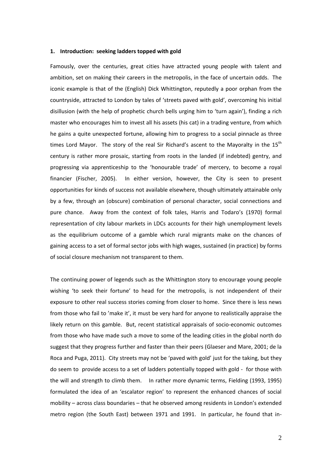#### **1. Introduction: seeking ladders topped with gold**

Famously, over the centuries, great cities have attracted young people with talent and ambition, set on making their careers in the metropolis, in the face of uncertain odds. The iconic example is that of the (English) Dick Whittington, reputedly a poor orphan from the countryside, attracted to London by tales of 'streets paved with gold', overcoming his initial disillusion (with the help of prophetic church bells urging him to 'turn again'), finding a rich master who encourages him to invest all his assets (his cat) in a trading venture, from which he gains a quite unexpected fortune, allowing him to progress to a social pinnacle as three times Lord Mayor. The story of the real Sir Richard's ascent to the Mayoralty in the 15<sup>th</sup> century is rather more prosaic, starting from roots in the landed (if indebted) gentry, and progressing via apprenticeship to the 'honourable trade' of mercery, to become a royal financier (Fischer, 2005). In either version, however, the City is seen to present opportunities for kinds of success not available elsewhere, though ultimately attainable only by a few, through an (obscure) combination of personal character, social connections and pure chance. Away from the context of folk tales, Harris and Todaro's (1970) formal representation of city labour markets in LDCs accounts for their high unemployment levels as the equilibrium outcome of a gamble which rural migrants make on the chances of gaining access to a set of formal sector jobs with high wages, sustained (in practice) by forms of social closure mechanism not transparent to them.

The continuing power of legends such as the Whittington story to encourage young people wishing 'to seek their fortune' to head for the metropolis, is not independent of their exposure to other real success stories coming from closer to home. Since there is less news from those who fail to 'make it', it must be very hard for anyone to realistically appraise the likely return on this gamble. But, recent statistical appraisals of socio-economic outcomes from those who have made such a move to some of the leading cities in the global north do suggest that they progress further and faster than their peers (Glaeser and Mare, 2001; de la Roca and Puga, 2011). City streets may not be 'paved with gold' just for the taking, but they do seem to provide access to a set of ladders potentially topped with gold - for those with the will and strength to climb them. In rather more dynamic terms, Fielding (1993, 1995) formulated the idea of an 'escalator region' to represent the enhanced chances of social mobility – across class boundaries – that he observed among residents in London's extended metro region (the South East) between 1971 and 1991. In particular, he found that in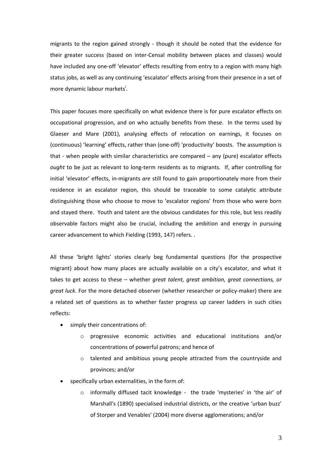migrants to the region gained strongly - though it should be noted that the evidence for their greater success (based on inter-Censal mobility between places and classes) would have included any one-off 'elevator' effects resulting from entry to a region with many high status jobs, as well as any continuing 'escalator' effects arising from their presence in a set of more dynamic labour markets<sup>i</sup>.

This paper focuses more specifically on what evidence there is for pure escalator effects on occupational progression, and on who actually benefits from these. In the terms used by Glaeser and Mare (2001), analysing effects of relocation on earnings, it focuses on (continuous) 'learning' effects, rather than (one-off) 'productivity' boosts. The assumption is that - when people with similar characteristics are compared – any (pure) escalator effects *ought* to be just as relevant to long-term residents as to migrants. If, after controlling for initial 'elevator' effects, in-migrants *are* still found to gain proportionately more from their residence in an escalator region, this should be traceable to some catalytic attribute distinguishing those who choose to move to 'escalator regions' from those who were born and stayed there. Youth and talent are the obvious candidates for this role, but less readily observable factors might also be crucial, including the ambition and energy in pursuing career advancement to which Fielding (1993, 147) refers. .

All these 'bright lights' stories clearly beg fundamental questions (for the prospective migrant) about how many places are actually available on a city's escalator, and what it takes to get access to these – whether *great talent, great ambition, great connections, or great luck*. For the more detached observer (whether researcher or policy-maker) there are a related set of questions as to whether faster progress up career ladders in such cities reflects:

- simply their concentrations of:
	- o progressive economic activities and educational institutions and/or concentrations of powerful patrons; and hence of
	- $\circ$  talented and ambitious young people attracted from the countryside and provinces; and/or
- specifically urban externalities, in the form of:
	- o informally diffused tacit knowledge the trade 'mysteries' in 'the air' of Marshall's (1890) specialised industrial districts, or the creative 'urban buzz' of Storper and Venables' (2004) more diverse agglomerations; and/or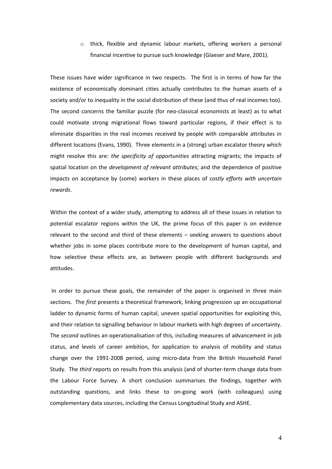o thick, flexible and dynamic labour markets, offering workers a personal financial incentive to pursue such knowledge (Glaeser and Mare, 2001).

These issues have wider significance in two respects. The first is in terms of how far the existence of economically dominant cities actually contributes to the human assets of a society and/or to inequality in the social distribution of these (and thus of real incomes too). The second concerns the familiar puzzle (for neo-classical economists at least) as to what could motivate strong migrational flows toward particular regions, if their effect is to eliminate disparities in the real incomes received by people with comparable attributes in different locations (Evans, 1990). Three elements in a (strong) urban escalator theory which might resolve this are: *the specificity of opportunities* attracting migrants; the impacts of spatial location on the *development of relevant attributes*; and the dependence of positive impacts on acceptance by (some) workers in these places of *costly efforts with uncertain rewards*.

Within the context of a wider study, attempting to address all of these issues in relation to potential escalator regions within the UK, the prime focus of this paper is on evidence relevant to the second and third of these elements – seeking answers to questions about whether jobs in some places contribute more to the development of human capital, and how selective these effects are, as between people with different backgrounds and attitudes.

In order to pursue these goals, the remainder of the paper is organised in three main sections. The *first* presents a theoretical framework, linking progression up an occupational ladder to dynamic forms of human capital, uneven spatial opportunities for exploiting this, and their relation to signalling behaviour in labour markets with high degrees of uncertainty. The *second* outlines an operationalisation of this, including measures of advancement in job status, and levels of career ambition, for application to analysis of mobility and status change over the 1991-2008 period, using micro-data from the British Household Panel Study. The *third* reports on results from this analysis (and of shorter-term change data from the Labour Force Survey. A short conclusion summarises the findings, together with outstanding questions, and links these to on-going work (with colleagues) using complementary data sources, including the Census Longitudinal Study and ASHE.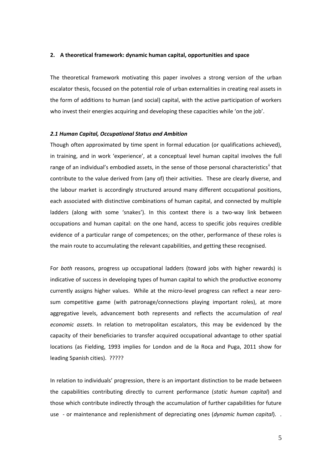#### **2. A theoretical framework: dynamic human capital, opportunities and space**

The theoretical framework motivating this paper involves a strong version of the urban escalator thesis, focused on the potential role of urban externalities in creating real assets in the form of additions to human (and social) capital, with the active participation of workers who invest their energies acquiring and developing these capacities while 'on the job'.

#### *2.1 Human Capital, Occupational Status and Ambition*

Though often approximated by time spent in formal education (or qualifications achieved), in training, and in work 'experience', at a conceptual level human capital involves the full range of an individual's embodied assets, in the sense of those personal characteristics" that contribute to the value derived from (any of) their activities. These are clearly diverse, and the labour market is accordingly structured around many different occupational positions, each associated with distinctive combinations of human capital, and connected by multiple ladders (along with some 'snakes'). In this context there is a two-way link between occupations and human capital: on the one hand, access to specific jobs requires credible evidence of a particular range of competences; on the other, performance of these roles is the main route to accumulating the relevant capabilities, and getting these recognised.

For *both* reasons, progress up occupational ladders (toward jobs with higher rewards) is indicative of success in developing types of human capital to which the productive economy currently assigns higher values. While at the micro-level progress can reflect a near zerosum competitive game (with patronage/connections playing important roles), at more aggregative levels, advancement both represents and reflects the accumulation of *real economic assets*. In relation to metropolitan escalators, this may be evidenced by the capacity of their beneficiaries to transfer acquired occupational advantage to other spatial locations (as Fielding, 1993 implies for London and de la Roca and Puga, 2011 show for leading Spanish cities). ?????

In relation to individuals' progression, there is an important distinction to be made between the capabilities contributing directly to current performance (*static human capital*) and those which contribute indirectly through the accumulation of further capabilities for future use - or maintenance and replenishment of depreciating ones (*dynamic human capital*). .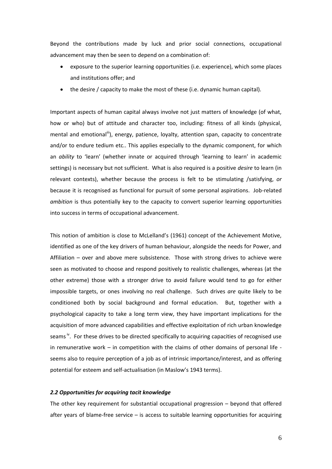Beyond the contributions made by luck and prior social connections, occupational advancement may then be seen to depend on a combination of:

- exposure to the superior learning opportunities (i.e. experience), which some places and institutions offer; and
- the desire / capacity to make the most of these (i.e. dynamic human capital).

Important aspects of human capital always involve not just matters of knowledge (of what, how or who) but of attitude and character too, including: fitness of all kinds (physical, mental and emotional<sup>iii</sup>), energy, patience, loyalty, attention span, capacity to concentrate and/or to endure tedium etc.. This applies especially to the dynamic component, for which an *ability* to 'learn' (whether innate or acquired through 'learning to learn' in academic settings) is necessary but not sufficient. What is also required is a positive *desire* to learn (in relevant contexts), whether because the process is felt to be stimulating /satisfying, *or* because it is recognised as functional for pursuit of some personal aspirations. Job-related *ambition* is thus potentially key to the capacity to convert superior learning opportunities into success in terms of occupational advancement.

This notion of ambition is close to McLelland's (1961) concept of the Achievement Motive, identified as one of the key drivers of human behaviour, alongside the needs for Power, and Affiliation – over and above mere subsistence. Those with strong drives to achieve were seen as motivated to choose and respond positively to realistic challenges, whereas (at the other extreme) those with a stronger drive to avoid failure would tend to go for either impossible targets, or ones involving no real challenge. Such drives *are* quite likely to be conditioned both by social background and formal education. But, together with a psychological capacity to take a long term view, they have important implications for the acquisition of more advanced capabilities and effective exploitation of rich urban knowledge seams  $\dot{v}$ . For these drives to be directed specifically to acquiring capacities of recognised use in remunerative work – in competition with the claims of other domains of personal life seems also to require perception of a job as of intrinsic importance/interest, and as offering potential for esteem and self-actualisation (in Maslow's 1943 terms).

#### *2.2 Opportunities for acquiring tacit knowledge*

The other key requirement for substantial occupational progression – beyond that offered after years of blame-free service – is access to suitable learning opportunities for acquiring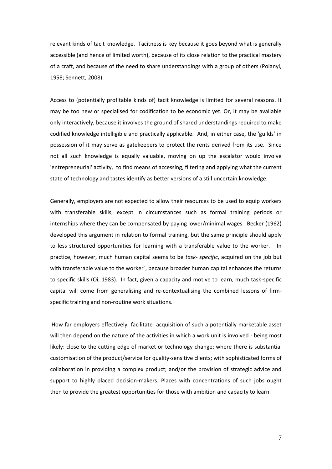relevant kinds of tacit knowledge. Tacitness is key because it goes beyond what is generally accessible (and hence of limited worth), because of its close relation to the practical mastery of a craft, and because of the need to share understandings with a group of others (Polanyi, 1958; Sennett, 2008).

Access to (potentially profitable kinds of) tacit knowledge is limited for several reasons. It may be too new or specialised for codification to be economic yet. Or, it may be available only interactively, because it involves the ground of shared understandings required to make codified knowledge intelligible and practically applicable. And, in either case, the 'guilds' in possession of it may serve as gatekeepers to protect the rents derived from its use. Since not all such knowledge is equally valuable, moving on up the escalator would involve 'entrepreneurial' activity, to find means of accessing, filtering and applying what the current state of technology and tastes identify as better versions of a still uncertain knowledge.

Generally, employers are not expected to allow their resources to be used to equip workers with transferable skills, except in circumstances such as formal training periods or internships where they can be compensated by paying lower/minimal wages. Becker (1962) developed this argument in relation to formal training, but the same principle should apply to less structured opportunities for learning with a transferable value to the worker. In practice, however, much human capital seems to be *task- specific*, acquired on the job but with transferable value to the worker<sup>v</sup>, because broader human capital enhances the returns to specific skills (Oi, 1983). In fact, given a capacity and motive to learn, much task-specific capital will come from generalising and re-contextualising the combined lessons of firmspecific training and non-routine work situations.

How far employers effectively facilitate acquisition of such a potentially marketable asset will then depend on the nature of the activities in which a work unit is involved - being most likely: close to the cutting edge of market or technology change; where there is substantial customisation of the product/service for quality-sensitive clients; with sophisticated forms of collaboration in providing a complex product; and/or the provision of strategic advice and support to highly placed decision-makers. Places with concentrations of such jobs ought then to provide the greatest opportunities for those with ambition and capacity to learn.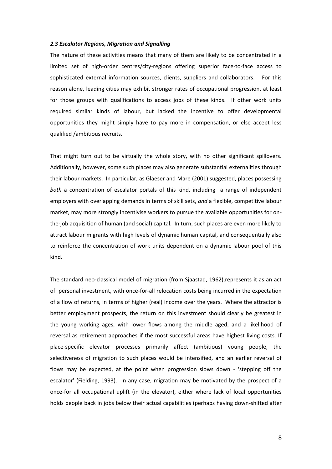#### *2.3 Escalator Regions, Migration and Signalling*

The nature of these activities means that many of them are likely to be concentrated in a limited set of high-order centres/city-regions offering superior face-to-face access to sophisticated external information sources, clients, suppliers and collaborators. For this reason alone, leading cities may exhibit stronger rates of occupational progression, at least for those groups with qualifications to access jobs of these kinds. If other work units required similar kinds of labour, but lacked the incentive to offer developmental opportunities they might simply have to pay more in compensation, or else accept less qualified /ambitious recruits.

That might turn out to be virtually the whole story, with no other significant spillovers. Additionally, however, some such places may also generate substantial externalities through their labour markets. In particular, as Glaeser and Mare (2001) suggested, places possessing *both* a concentration of escalator portals of this kind, including a range of independent employers with overlapping demands in terms of skill sets, *and* a flexible, competitive labour market, may more strongly incentivise workers to pursue the available opportunities for onthe-job acquisition of human (and social) capital. In turn, such places are even more likely to attract labour migrants with high levels of dynamic human capital, and consequentially also to reinforce the concentration of work units dependent on a dynamic labour pool of this kind.

The standard neo-classical model of migration (from Sjaastad, 1962),represents it as an act of personal investment, with once-for-all relocation costs being incurred in the expectation of a flow of returns, in terms of higher (real) income over the years. Where the attractor is better employment prospects, the return on this investment should clearly be greatest in the young working ages, with lower flows among the middle aged, and a likelihood of reversal as retirement approaches if the most successful areas have highest living costs. If place-specific elevator processes primarily affect (ambitious) young people, the selectiveness of migration to such places would be intensified, and an earlier reversal of flows may be expected, at the point when progression slows down - 'stepping off the escalator' (Fielding, 1993). In any case, migration may be motivated by the prospect of a once-for all occupational uplift (in the elevator), either where lack of local opportunities holds people back in jobs below their actual capabilities (perhaps having down-shifted after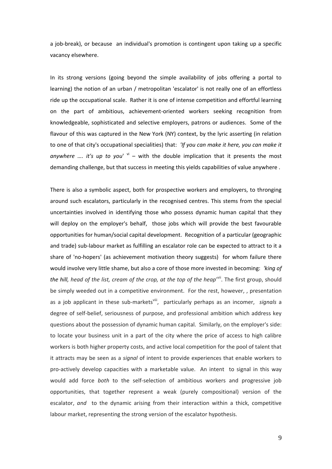a job-break), or because an individual's promotion is contingent upon taking up a specific vacancy elsewhere.

In its strong versions (going beyond the simple availability of jobs offering a portal to learning) the notion of an urban / metropolitan 'escalator' is not really one of an effortless ride up the occupational scale. Rather it is one of intense competition and effortful learning on the part of ambitious, achievement-oriented workers seeking recognition from knowledgeable, sophisticated and selective employers, patrons or audiences. Some of the flavour of this was captured in the New York (NY) context, by the lyric asserting (in relation to one of that city's occupational specialities) that: *'If you can make it here, you can make it*  anywhere .... it's up to you' v<sup>i</sup> – with the double implication that it presents the most demanding challenge, but that success in meeting this yields capabilities of value anywhere .

There is also a symbolic aspect, both for prospective workers and employers, to thronging around such escalators, particularly in the recognised centres. This stems from the special uncertainties involved in identifying those who possess dynamic human capital that they will deploy on the employer's behalf, those jobs which will provide the best favourable opportunities for human/social capital development. Recognition of a particular (geographic and trade) sub-labour market as fulfilling an escalator role can be expected to attract to it a share of 'no-hopers' (as achievement motivation theory suggests) for whom failure there would involve very little shame, but also a core of those more invested in becoming: *'king of*  the hill, head of the list, cream of the crop, at the top of the heap<sup>ivii</sup>. The first group, should be simply weeded out in a competitive environment. For the rest, however, , presentation as a job applicant in these sub-markets<sup>viii</sup>, particularly perhaps as an incomer, *signals* a degree of self-belief, seriousness of purpose, and professional ambition which address key questions about the possession of dynamic human capital. Similarly, on the employer's side: to locate your business unit in a part of the city where the price of access to high calibre workers is both higher property costs, and active local competition for the pool of talent that it attracts may be seen as a *signal* of intent to provide experiences that enable workers to pro-actively develop capacities with a marketable value. An intent to signal in this way would add force *both* to the self-selection of ambitious workers and progressive job opportunities, that together represent a weak (purely compositional) version of the escalator, *and* to the dynamic arising from their interaction within a thick, competitive labour market, representing the strong version of the escalator hypothesis.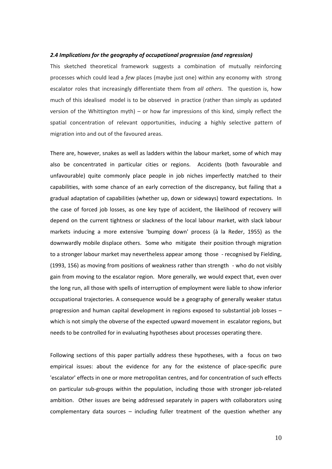#### *2.4 Implications for the geography of occupational progression (and regression)*

This sketched theoretical framework suggests a combination of mutually reinforcing processes which could lead a *few* places (maybe just one) within any economy with strong escalator roles that increasingly differentiate them from *all others*. The question is, how much of this idealised model is to be observed in practice (rather than simply as updated version of the Whittington myth) – or how far impressions of this kind, simply reflect the spatial concentration of relevant opportunities, inducing a highly selective pattern of migration into and out of the favoured areas.

There are, however, snakes as well as ladders within the labour market, some of which may also be concentrated in particular cities or regions. Accidents (both favourable and unfavourable) quite commonly place people in job niches imperfectly matched to their capabilities, with some chance of an early correction of the discrepancy, but failing that a gradual adaptation of capabilities (whether up, down or sideways) toward expectations. In the case of forced job losses, as one key type of accident, the likelihood of recovery will depend on the current tightness or slackness of the local labour market, with slack labour markets inducing a more extensive 'bumping down' process (à la Reder, 1955) as the downwardly mobile displace others. Some who mitigate their position through migration to a stronger labour market may nevertheless appear among those - recognised by Fielding, (1993, 156) as moving from positions of weakness rather than strength - who do not visibly gain from moving to the escalator region. More generally, we would expect that, even over the long run, all those with spells of interruption of employment were liable to show inferior occupational trajectories. A consequence would be a geography of generally weaker status progression and human capital development in regions exposed to substantial job losses – which is not simply the obverse of the expected upward movement in escalator regions, but needs to be controlled for in evaluating hypotheses about processes operating there.

Following sections of this paper partially address these hypotheses, with a focus on two empirical issues: about the evidence for any for the existence of place-specific pure 'escalator' effects in one or more metropolitan centres, and for concentration of such effects on particular sub-groups within the population, including those with stronger job-related ambition. Other issues are being addressed separately in papers with collaborators using complementary data sources – including fuller treatment of the question whether any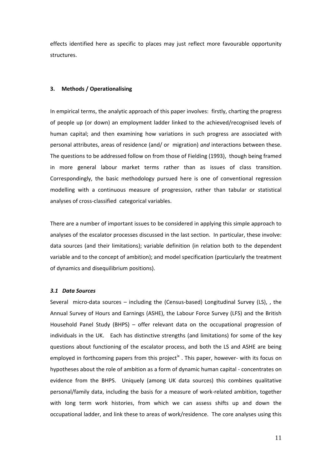effects identified here as specific to places may just reflect more favourable opportunity structures.

#### **3. Methods / Operationalising**

In empirical terms, the analytic approach of this paper involves: firstly, charting the progress of people up (or down) an employment ladder linked to the achieved/recognised levels of human capital; and then examining how variations in such progress are associated with personal attributes, areas of residence (and/ or migration) *and* interactions between these. The questions to be addressed follow on from those of Fielding (1993), though being framed in more general labour market terms rather than as issues of class transition. Correspondingly, the basic methodology pursued here is one of conventional regression modelling with a continuous measure of progression, rather than tabular or statistical analyses of cross-classified categorical variables.

There are a number of important issues to be considered in applying this simple approach to analyses of the escalator processes discussed in the last section. In particular, these involve: data sources (and their limitations); variable definition (in relation both to the dependent variable and to the concept of ambition); and model specification (particularly the treatment of dynamics and disequilibrium positions).

#### *3.1 Data Sources*

Several micro-data sources – including the (Census-based) Longitudinal Survey (LS), , the Annual Survey of Hours and Earnings (ASHE), the Labour Force Survey (LFS) and the British Household Panel Study (BHPS) – offer relevant data on the occupational progression of individuals in the UK. Each has distinctive strengths (and limitations) for some of the key questions about functioning of the escalator process, and both the LS and ASHE are being employed in forthcoming papers from this project<sup>ix</sup>. This paper, however- with its focus on hypotheses about the role of ambition as a form of dynamic human capital - concentrates on evidence from the BHPS. Uniquely (among UK data sources) this combines qualitative personal/family data, including the basis for a measure of work-related ambition, together with long term work histories, from which we can assess shifts up and down the occupational ladder, and link these to areas of work/residence. The core analyses using this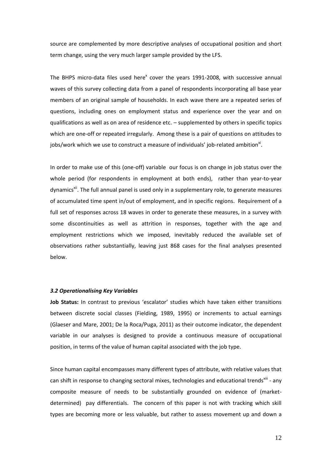source are complemented by more descriptive analyses of occupational position and short term change, using the very much larger sample provided by the LFS.

The BHPS micro-data files used here<sup>x</sup> cover the years 1991-2008, with successive annual waves of this survey collecting data from a panel of respondents incorporating all base year members of an original sample of households. In each wave there are a repeated series of questions, including ones on employment status and experience over the year and on qualifications as well as on area of residence etc. – supplemented by others in specific topics which are one-off or repeated irregularly. Among these is a pair of questions on attitudes to jobs/work which we use to construct a measure of individuals' job-related ambition ${}^{\times}$ .

In order to make use of this (one-off) variable our focus is on change in job status over the whole period (for respondents in employment at both ends), rather than year-to-year dynamics<sup>xii</sup>. The full annual panel is used only in a supplementary role, to generate measures of accumulated time spent in/out of employment, and in specific regions. Requirement of a full set of responses across 18 waves in order to generate these measures, in a survey with some discontinuities as well as attrition in responses, together with the age and employment restrictions which we imposed, inevitably reduced the available set of observations rather substantially, leaving just 868 cases for the final analyses presented below.

#### *3.2 Operationalising Key Variables*

**Job Status:** In contrast to previous 'escalator' studies which have taken either transitions between discrete social classes (Fielding, 1989, 1995) or increments to actual earnings (Glaeser and Mare, 2001; De la Roca/Puga, 2011) as their outcome indicator, the dependent variable in our analyses is designed to provide a continuous measure of occupational position, in terms of the value of human capital associated with the job type.

Since human capital encompasses many different types of attribute, with relative values that can shift in response to changing sectoral mixes, technologies and educational trends<sup>xiii</sup> - any composite measure of needs to be substantially grounded on evidence of (marketdetermined) pay differentials. The concern of this paper is not with tracking which skill types are becoming more or less valuable, but rather to assess movement up and down a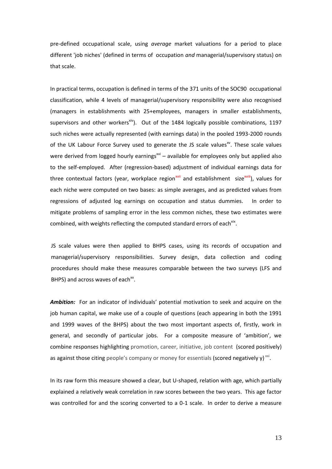pre-defined occupational scale, using *average* market valuations for a period to place different 'job niches' (defined in terms of occupation *and* managerial/supervisory status) on that scale.

In practical terms, occupation is defined in terms of the 371 units of the SOC90 occupational classification, while 4 levels of managerial/supervisory responsibility were also recognised (managers in establishments with 25+employees, managers in smaller establishments, supervisors and other workers<sup>xiv</sup>). Out of the 1484 logically possible combinations, 1197 such niches were actually represented (with earnings data) in the pooled 1993-2000 rounds of the UK Labour Force Survey used to generate the JS scale values<sup>xy</sup>. These scale values were derived from logged hourly earnings<sup>xvi</sup> – available for employees only but applied also to the self-employed. After (regression-based) adjustment of individual earnings data for three contextual factors (year, workplace region $^{xvi}$  and establishment size $^{xviii}$ ), values for each niche were computed on two bases: as simple averages, and as predicted values from regressions of adjusted log earnings on occupation and status dummies. In order to mitigate problems of sampling error in the less common niches, these two estimates were combined, with weights reflecting the computed standard errors of each $x^{\text{xx}}$ .

JS scale values were then applied to BHPS cases, using its records of occupation and managerial/supervisory responsibilities. Survey design, data collection and coding procedures should make these measures comparable between the two surveys (LFS and BHPS) and across waves of each<sup>xx</sup>.

*Ambition:* For an indicator of individuals' potential motivation to seek and acquire on the job human capital, we make use of a couple of questions (each appearing in both the 1991 and 1999 waves of the BHPS) about the two most important aspects of, firstly, work in general, and secondly of particular jobs. For a composite measure of 'ambition', we combine responses highlighting promotion, career, initiative, job content (scored positively) as against those citing people's company or money for essentials (scored negatively y)<sup> $xxi$ </sup>.

In its raw form this measure showed a clear, but U-shaped, relation with age, which partially explained a relatively weak correlation in raw scores between the two years. This age factor was controlled for and the scoring converted to a 0-1 scale. In order to derive a measure

13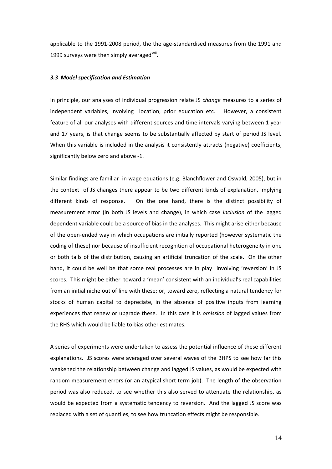applicable to the 1991-2008 period, the the age-standardised measures from the 1991 and 1999 surveys were then simply averaged<sup>xxii</sup>.

#### *3.3 Model specification and Estimation*

In principle, our analyses of individual progression relate JS *change* measures to a series of independent variables, involving location, prior education etc. However, a consistent feature of all our analyses with different sources and time intervals varying between 1 year and 17 years, is that change seems to be substantially affected by start of period JS level. When this variable is included in the analysis it consistently attracts (negative) coefficients, significantly below zero and above -1.

Similar findings are familiar in wage equations (e.g. Blanchflower and Oswald, 2005), but in the context of JS changes there appear to be two different kinds of explanation, implying different kinds of response. On the one hand, there is the distinct possibility of measurement error (in both JS levels and change), in which case *inclusion* of the lagged dependent variable could be a source of bias in the analyses. This might arise either because of the open-ended way in which occupations are initially reported (however systematic the coding of these) nor because of insufficient recognition of occupational heterogeneity in one or both tails of the distribution, causing an artificial truncation of the scale. On the other hand, it could be well be that some real processes are in play involving 'reversion' in JS scores. This might be either toward a 'mean' consistent with an individual's real capabilities from an initial niche out of line with these; or, toward zero, reflecting a natural tendency for stocks of human capital to depreciate, in the absence of positive inputs from learning experiences that renew or upgrade these. In this case it is *omission* of lagged values from the RHS which would be liable to bias other estimates.

A series of experiments were undertaken to assess the potential influence of these different explanations. JS scores were averaged over several waves of the BHPS to see how far this weakened the relationship between change and lagged JS values, as would be expected with random measurement errors (or an atypical short term job). The length of the observation period was also reduced, to see whether this also served to attenuate the relationship, as would be expected from a systematic tendency to reversion. And the lagged JS score was replaced with a set of quantiles, to see how truncation effects might be responsible.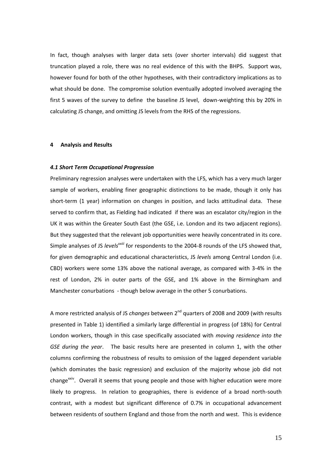In fact, though analyses with larger data sets (over shorter intervals) did suggest that truncation played a role, there was no real evidence of this with the BHPS. Support was, however found for both of the other hypotheses, with their contradictory implications as to what should be done. The compromise solution eventually adopted involved averaging the first 5 waves of the survey to define the baseline JS level, down-weighting this by 20% in calculating JS change, and omitting JS levels from the RHS of the regressions.

#### **4 Analysis and Results**

#### *4.1 Short Term Occupational Progression*

Preliminary regression analyses were undertaken with the LFS, which has a very much larger sample of workers, enabling finer geographic distinctions to be made, though it only has short-term (1 year) information on changes in position, and lacks attitudinal data. These served to confirm that, as Fielding had indicated if there was an escalator city/region in the UK it was within the Greater South East (the GSE, i.e. London and its two adjacent regions). But they suggested that the relevant job opportunities were heavily concentrated in its core. Simple analyses of JS *levelsxxiii* for respondents to the 2004-8 rounds of the LFS showed that, for given demographic and educational characteristics, JS *levels* among Central London (i.e. CBD) workers were some 13% above the national average, as compared with 3-4% in the rest of London, 2% in outer parts of the GSE, and 1% above in the Birmingham and Manchester conurbations - though below average in the other 5 conurbations.

A more restricted analysis of JS *changes* between 2<sup>nd</sup> quarters of 2008 and 2009 (with results presented in Table 1) identified a similarly large differential in progress (of 18%) for Central London workers, though in this case specifically associated with *moving residence into the GSE during the year*. The basic results here are presented in column 1, with the other columns confirming the robustness of results to omission of the lagged dependent variable (which dominates the basic regression) and exclusion of the majority whose job did not change<sup>xxiv</sup>. Overall it seems that young people and those with higher education were more likely to progress. In relation to geographies, there is evidence of a broad north-south contrast, with a modest but significant difference of 0.7% in occupational advancement between residents of southern England and those from the north and west. This is evidence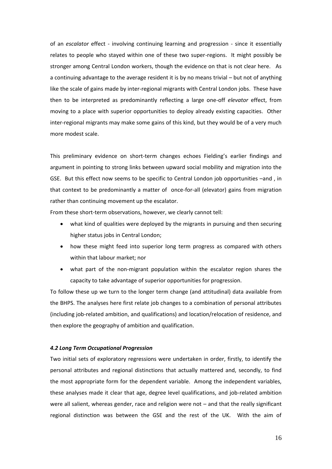of an *escalator* effect - involving continuing learning and progression - since it essentially relates to people who stayed within one of these two super-regions. It might possibly be stronger among Central London workers, though the evidence on that is not clear here. As a continuing advantage to the average resident it is by no means trivial – but not of anything like the scale of gains made by inter-regional migrants with Central London jobs. These have then to be interpreted as predominantly reflecting a large one-off *elevator* effect, from moving to a place with superior opportunities to deploy already existing capacities. Other inter-regional migrants may make some gains of this kind, but they would be of a very much more modest scale.

This preliminary evidence on short-term changes echoes Fielding's earlier findings and argument in pointing to strong links between upward social mobility and migration into the GSE. But this effect now seems to be specific to Central London job opportunities –and , in that context to be predominantly a matter of once-for-all (elevator) gains from migration rather than continuing movement up the escalator.

From these short-term observations, however, we clearly cannot tell:

- what kind of qualities were deployed by the migrants in pursuing and then securing higher status jobs in Central London;
- how these might feed into superior long term progress as compared with others within that labour market; nor
- what part of the non-migrant population within the escalator region shares the capacity to take advantage of superior opportunities for progression.

To follow these up we turn to the longer term change (and attitudinal) data available from the BHPS. The analyses here first relate job changes to a combination of personal attributes (including job-related ambition, and qualifications) and location/relocation of residence, and then explore the geography of ambition and qualification.

#### *4.2 Long Term Occupational Progression*

Two initial sets of exploratory regressions were undertaken in order, firstly, to identify the personal attributes and regional distinctions that actually mattered and, secondly, to find the most appropriate form for the dependent variable. Among the independent variables, these analyses made it clear that age, degree level qualifications, and job-related ambition were all salient, whereas gender, race and religion were not – and that the really significant regional distinction was between the GSE and the rest of the UK. With the aim of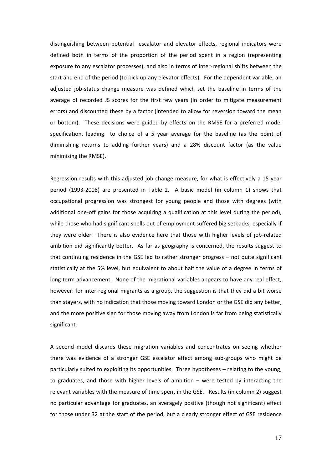distinguishing between potential escalator and elevator effects, regional indicators were defined both in terms of the proportion of the period spent in a region (representing exposure to any escalator processes), and also in terms of inter-regional shifts between the start and end of the period (to pick up any elevator effects). For the dependent variable, an adjusted job-status change measure was defined which set the baseline in terms of the average of recorded JS scores for the first few years (in order to mitigate measurement errors) and discounted these by a factor (intended to allow for reversion toward the mean or bottom). These decisions were guided by effects on the RMSE for a preferred model specification, leading to choice of a 5 year average for the baseline (as the point of diminishing returns to adding further years) and a 28% discount factor (as the value minimising the RMSE).

Regression results with this adjusted job change measure, for what is effectively a 15 year period (1993-2008) are presented in Table 2. A basic model (in column 1) shows that occupational progression was strongest for young people and those with degrees (with additional one-off gains for those acquiring a qualification at this level during the period), while those who had significant spells out of employment suffered big setbacks, especially if they were older. There is also evidence here that those with higher levels of job-related ambition did significantly better. As far as geography is concerned, the results suggest to that continuing residence in the GSE led to rather stronger progress – not quite significant statistically at the 5% level, but equivalent to about half the value of a degree in terms of long term advancement. None of the migrational variables appears to have any real effect, however: for inter-regional migrants as a group, the suggestion is that they did a bit worse than stayers, with no indication that those moving toward London or the GSE did any better, and the more positive sign for those moving away from London is far from being statistically significant.

A second model discards these migration variables and concentrates on seeing whether there was evidence of a stronger GSE escalator effect among sub-groups who might be particularly suited to exploiting its opportunities. Three hypotheses – relating to the young, to graduates, and those with higher levels of ambition – were tested by interacting the relevant variables with the measure of time spent in the GSE. Results (in column 2) suggest no particular advantage for graduates, an averagely positive (though not significant) effect for those under 32 at the start of the period, but a clearly stronger effect of GSE residence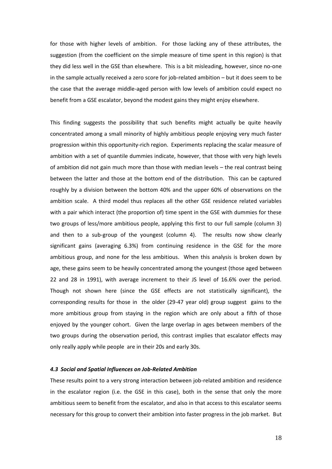for those with higher levels of ambition. For those lacking any of these attributes, the suggestion (from the coefficient on the simple measure of time spent in this region) is that they did less well in the GSE than elsewhere. This is a bit misleading, however, since no-one in the sample actually received a zero score for job-related ambition – but it does seem to be the case that the average middle-aged person with low levels of ambition could expect no benefit from a GSE escalator, beyond the modest gains they might enjoy elsewhere.

This finding suggests the possibility that such benefits might actually be quite heavily concentrated among a small minority of highly ambitious people enjoying very much faster progression within this opportunity-rich region. Experiments replacing the scalar measure of ambition with a set of quantile dummies indicate, however, that those with very high levels of ambition did not gain much more than those with median levels – the real contrast being between the latter and those at the bottom end of the distribution. This can be captured roughly by a division between the bottom 40% and the upper 60% of observations on the ambition scale. A third model thus replaces all the other GSE residence related variables with a pair which interact (the proportion of) time spent in the GSE with dummies for these two groups of less/more ambitious people, applying this first to our full sample (column 3) and then to a sub-group of the youngest (column 4). The results now show clearly significant gains (averaging 6.3%) from continuing residence in the GSE for the more ambitious group, and none for the less ambitious. When this analysis is broken down by age, these gains seem to be heavily concentrated among the youngest (those aged between 22 and 28 in 1991), with average increment to their JS level of 16.6% over the period. Though not shown here (since the GSE effects are not statistically significant), the corresponding results for those in the older (29-47 year old) group suggest gains to the more ambitious group from staying in the region which are only about a fifth of those enjoyed by the younger cohort. Given the large overlap in ages between members of the two groups during the observation period, this contrast implies that escalator effects may only really apply while people are in their 20s and early 30s.

#### *4.3 Social and Spatial Influences on Job-Related Ambition*

These results point to a very strong interaction between job-related ambition and residence in the escalator region (i.e. the GSE in this case), both in the sense that only the more ambitious seem to benefit from the escalator, and also in that access to this escalator seems necessary for this group to convert their ambition into faster progress in the job market. But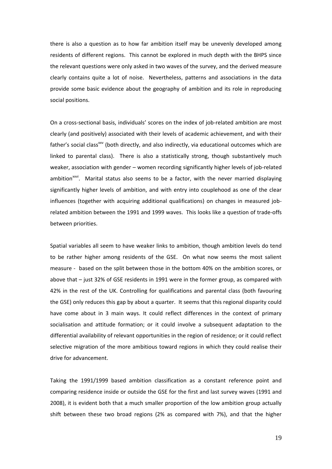there is also a question as to how far ambition itself may be unevenly developed among residents of different regions. This cannot be explored in much depth with the BHPS since the relevant questions were only asked in two waves of the survey, and the derived measure clearly contains quite a lot of noise. Nevertheless, patterns and associations in the data provide some basic evidence about the geography of ambition and its role in reproducing social positions.

On a cross-sectional basis, individuals' scores on the index of job-related ambition are most clearly (and positively) associated with their levels of academic achievement, and with their father's social class<sup>xxv</sup> (both directly, and also indirectly, via educational outcomes which are linked to parental class). There is also a statistically strong, though substantively much weaker, association with gender – women recording significantly higher levels of job-related ambition<sup>xxvi</sup>. Marital status also seems to be a factor, with the never married displaying significantly higher levels of ambition, and with entry into couplehood as one of the clear influences (together with acquiring additional qualifications) on changes in measured jobrelated ambition between the 1991 and 1999 waves. This looks like a question of trade-offs between priorities.

Spatial variables all seem to have weaker links to ambition, though ambition levels do tend to be rather higher among residents of the GSE. On what now seems the most salient measure - based on the split between those in the bottom 40% on the ambition scores, or above that – just 32% of GSE residents in 1991 were in the former group, as compared with 42% in the rest of the UK. Controlling for qualifications and parental class (both favouring the GSE) only reduces this gap by about a quarter. It seems that this regional disparity could have come about in 3 main ways. It could reflect differences in the context of primary socialisation and attitude formation; or it could involve a subsequent adaptation to the differential availability of relevant opportunities in the region of residence; or it could reflect selective migration of the more ambitious toward regions in which they could realise their drive for advancement.

Taking the 1991/1999 based ambition classification as a constant reference point and comparing residence inside or outside the GSE for the first and last survey waves (1991 and 2008), it is evident both that a much smaller proportion of the low ambition group actually shift between these two broad regions (2% as compared with 7%), and that the higher

19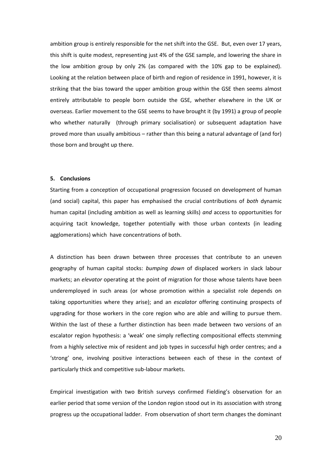ambition group is entirely responsible for the net shift into the GSE. But, even over 17 years, this shift is quite modest, representing just 4% of the GSE sample, and lowering the share in the low ambition group by only 2% (as compared with the 10% gap to be explained). Looking at the relation between place of birth and region of residence in 1991, however, it is striking that the bias toward the upper ambition group within the GSE then seems almost entirely attributable to people born outside the GSE, whether elsewhere in the UK or overseas. Earlier movement to the GSE seems to have brought it (by 1991) a group of people who whether naturally (through primary socialisation) or subsequent adaptation have proved more than usually ambitious – rather than this being a natural advantage of (and for) those born and brought up there.

#### **5. Conclusions**

Starting from a conception of occupational progression focused on development of human (and social) capital, this paper has emphasised the crucial contributions of *both* dynamic human capital (including ambition as well as learning skills) *and* access to opportunities for acquiring tacit knowledge, together potentially with those urban contexts (in leading agglomerations) which have concentrations of both.

A distinction has been drawn between three processes that contribute to an uneven geography of human capital stocks: *bumping down* of displaced workers in slack labour markets; an *elevator* operating at the point of migration for those whose talents have been underemployed in such areas (or whose promotion within a specialist role depends on taking opportunities where they arise); and an *escalator* offering continuing prospects of upgrading for those workers in the core region who are able and willing to pursue them. Within the last of these a further distinction has been made between two versions of an escalator region hypothesis: a 'weak' one simply reflecting compositional effects stemming from a highly selective mix of resident and job types in successful high order centres; and a 'strong' one, involving positive interactions between each of these in the context of particularly thick and competitive sub-labour markets.

Empirical investigation with two British surveys confirmed Fielding's observation for an earlier period that some version of the London region stood out in its association with strong progress up the occupational ladder. From observation of short term changes the dominant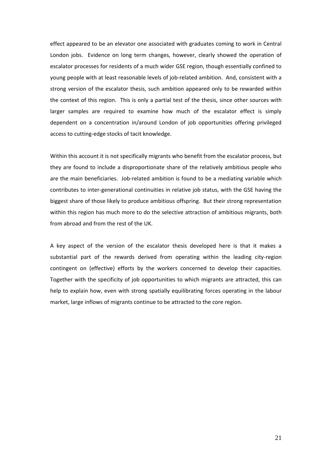effect appeared to be an elevator one associated with graduates coming to work in Central London jobs. Evidence on long term changes, however, clearly showed the operation of escalator processes for residents of a much wider GSE region, though essentially confined to young people with at least reasonable levels of job-related ambition. And, consistent with a strong version of the escalator thesis, such ambition appeared only to be rewarded within the context of this region. This is only a partial test of the thesis, since other sources with larger samples are required to examine how much of the escalator effect is simply dependent on a concentration in/around London of job opportunities offering privileged access to cutting-edge stocks of tacit knowledge.

Within this account it is not specifically migrants who benefit from the escalator process, but they are found to include a disproportionate share of the relatively ambitious people who are the main beneficiaries. Job-related ambition is found to be a mediating variable which contributes to inter-generational continuities in relative job status, with the GSE having the biggest share of those likely to produce ambitious offspring. But their strong representation within this region has much more to do the selective attraction of ambitious migrants, both from abroad and from the rest of the UK.

A key aspect of the version of the escalator thesis developed here is that it makes a substantial part of the rewards derived from operating within the leading city-region contingent on (effective) efforts by the workers concerned to develop their capacities. Together with the specificity of job opportunities to which migrants are attracted, this can help to explain how, even with strong spatially equilibrating forces operating in the labour market, large inflows of migrants continue to be attracted to the core region.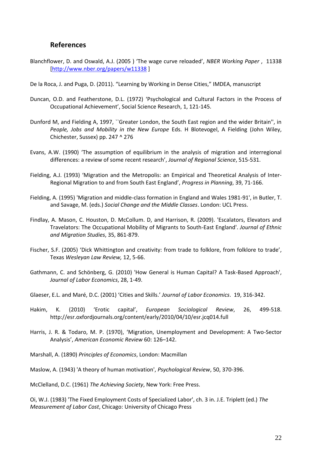### **References**

- Blanchflower, D. and Oswald, A.J. (2005 ) 'The wage curve reloaded', *NBER Working Paper* , 11338 [\[http://www.nber.org/papers/w11338](http://www.nber.org/papers/w11338) ]
- De la Roca, J. and Puga, D. (2011). "Learning by Working in Dense Cities," IMDEA, manuscript
- Duncan, O.D. and Featherstone, D.L. (1972) 'Psychological and Cultural Factors in the Process of Occupational Achievement', Social Science Research, 1, 121-145.
- Dunford M, and Fielding A, 1997, ``Greater London, the South East region and the wider Britain'', in *People, Jobs and Mobility in the New Europe* Eds. H Blotevogel, A Fielding (John Wiley, Chichester, Sussex) pp. 247 ^ 276
- Evans, A.W. (1990) 'The assumption of equilibrium in the analysis of migration and interregional differences: a review of some recent research', *Journal of Regional Science*, 515-531.
- Fielding, A.J. (1993) 'Migration and the Metropolis: an Empirical and Theoretical Analysis of Inter-Regional Migration to and from South East England', *Progress in Planning*, 39, 71-166.
- Fielding, A. (1995) 'Migration and middle-class formation in England and Wales 1981-91', in Butler, T. and Savage, M. (eds.) *Social Change and the Middle Classes*. London: UCL Press.
- Findlay, A. Mason, C. Houston, D. McCollum. D, and Harrison, R. (2009). 'Escalators, Elevators and Travelators: The Occupational Mobility of Migrants to South-East England'. *Journal of Ethnic and Migration Studies*, 35, 861-879.
- Fischer, S.F. (2005) 'Dick Whittington and creativity: from trade to folklore, from folklore to trade', Texas *Wesleyan Law Review,* 12, 5-66.
- Gathmann, C. and Schönberg, G. (2010) 'How General is Human Capital? A Task-Based Approach', *Journal of Labor Economics*, 28, 1-49.
- Glaeser, E.L. and Maré, D.C. (2001) 'Cities and Skills.' *Journal of Labor Economics*. 19, 316-342.
- Hakim, K. (2010) 'Erotic capital', *European Sociological Review*, 26, 499-518. http://esr.oxfordjournals.org/content/early/2010/04/10/esr.jcq014.full
- Harris, J. R. & Todaro, M. P. (1970), 'Migration, Unemployment and Development: A Two-Sector Analysis', *[American Economic Review](http://en.wikipedia.org/wiki/American_Economic_Review)* 60: 126–142.
- Marshall, A. (1890) *Principles of Economics*, London: Macmillan

Maslow, A. (1943) 'A theory of human motivation', *Psychological Review*, 50, 370-396.

McClelland, D.C. (1961) *The Achieving Society*, New York: Free Press.

Oi, W.J. (1983) 'The Fixed Employment Costs of Specialized Labor', ch. 3 in. J.E. Triplett (ed.) *The Measurement of Labor Cost*, Chicago: University of Chicago Press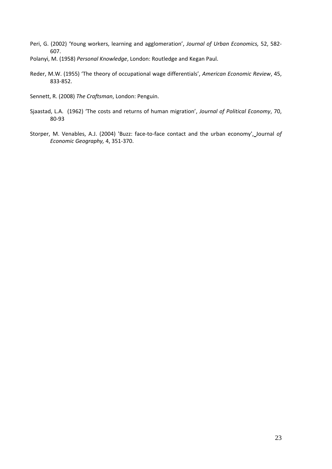- Peri, G. (2002) 'Young workers, learning and agglomeration', *Journal of Urban Economics,* 52, 582- 607.
- Polanyi, M. (1958) *Personal Knowledge*, London: Routledge and Kegan Paul.
- Reder, M.W. (1955) 'The theory of occupational wage differentials', *American Economic Review*, 45, 833-852.
- Sennett, R. (2008) *The Craftsman*, London: Penguin.
- Sjaastad, L.A. (1962) 'The costs and returns of human migration', *Journal of Political Economy*, 70, 80-93
- Storper, M. Venables, A.J. (2004) ['Buzz: face-to-face contact and the urban economy'](file://STAFF1/a/oup/jecgeo/v4y2004i4p351-370.html), Journal *of Economic Geography,* 4, 351-370.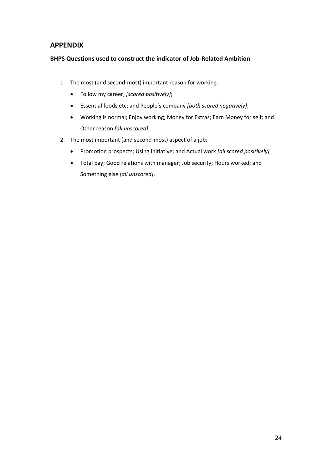## **APPENDIX**

## **BHPS Questions used to construct the indicator of Job-Related Ambition**

- 1. The most (and second-most) important reason for working:
	- Follow my career; *[scored positively]*;
	- Essential foods etc; and People's company *[both scored negatively]*;
	- Working is normal; Enjoy working; Money for Extras; Earn Money for self; and Other reason *[all unscored]*;
- 2. The most important (and second-most) aspect of a job:
	- Promotion prospects; Using initiative; and Actual work *[all scored positively]*
	- Total pay; Good relations with manager; Job security; Hours worked; and Something else *[all unscored]*.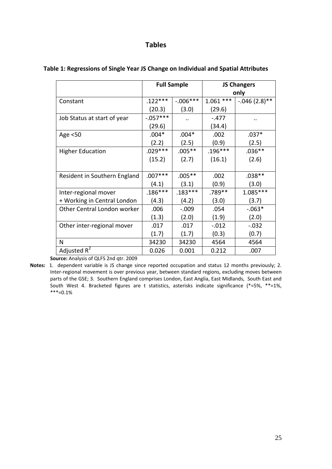## **Tables**

|                              | <b>Full Sample</b> |            | <b>JS Changers</b><br>only |                 |
|------------------------------|--------------------|------------|----------------------------|-----------------|
| Constant                     | $.122***$          | $-.006***$ | $1.061$ ***                | $-.046(2.8)$ ** |
|                              | (20.3)             | (3.0)      | (29.6)                     |                 |
| Job Status at start of year  | $-.057***$         |            | $-.477$                    |                 |
|                              | (29.6)             |            | (34.4)                     |                 |
| Age $<$ 50                   | $.004*$            | $.004*$    | .002                       | $.037*$         |
|                              | (2.2)              | (2.5)      | (0.9)                      | (2.5)           |
| <b>Higher Education</b>      | $.029***$          | $.005**$   | $.196***$                  | $.036**$        |
|                              | (15.2)             | (2.7)      | (16.1)                     | (2.6)           |
|                              |                    |            |                            |                 |
| Resident in Southern England | $.007***$          | $.005**$   | .002                       | $.038**$        |
|                              | (4.1)              | (3.1)      | (0.9)                      | (3.0)           |
| Inter-regional mover         | $.186***$          | $.183***$  | .789 **                    | $1.085***$      |
| + Working in Central London  | (4.3)              | (4.2)      | (3.0)                      | (3.7)           |
| Other Central London worker  | .006               | $-.009$    | .054                       | $-0.063*$       |
|                              | (1.3)              | (2.0)      | (1.9)                      | (2.0)           |
| Other inter-regional mover   | .017               | .017       | $-0.012$                   | $-.032$         |
|                              | (1.7)              | (1.7)      | (0.3)                      | (0.7)           |
| N                            | 34230              | 34230      | 4564                       | 4564            |
| Adjusted $R^2$               | 0.026              | 0.001      | 0.212                      | .007            |

## **Table 1: Regressions of Single Year JS Change on Individual and Spatial Attributes**

**Source:** Analysis of QLFS 2nd qtr. 2009

**Notes:** 1.dependent variable is JS change since reported occupation and status 12 months previously; 2. Inter-regional movement is over previous year, between standard regions, excluding moves between parts of the GSE; 3. Southern England comprises London, East Anglia, East Midlands, South East and South West 4. Bracketed figures are t statistics, asterisks indicate significance (\*=5%, \*\*=1%,  $***=0.1\%$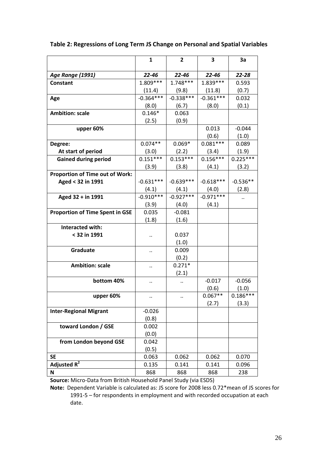|                                        | $\mathbf{1}$         | $\overline{2}$       | 3           | 3a         |
|----------------------------------------|----------------------|----------------------|-------------|------------|
| <b>Age Range (1991)</b>                | 22-46                | $22 - 46$            | 22-46       | 22-28      |
| <b>Constant</b>                        | $1.809***$           | $1.748***$           | $1.839***$  | 0.593      |
|                                        | (11.4)               | (9.8)                | (11.8)      | (0.7)      |
| Age                                    | $-0.364***$          | $-0.338***$          | $-0.361***$ | 0.032      |
|                                        | (8.0)                | (6.7)                | (8.0)       | (0.1)      |
| <b>Ambition: scale</b>                 | $0.146*$             | 0.063                |             |            |
|                                        | (2.5)                | (0.9)                |             |            |
| upper 60%                              |                      |                      | 0.013       | $-0.044$   |
|                                        |                      |                      | (0.6)       | (1.0)      |
| Degree:                                | $0.074**$            | $0.069*$             | $0.081***$  | 0.089      |
| At start of period                     | (3.0)                | (2.2)                | (3.4)       | (1.9)      |
| <b>Gained during period</b>            | $0.151***$           | $0.153***$           | $0.156***$  | $0.225***$ |
|                                        | (3.9)                | (3.8)                | (4.1)       | (3.2)      |
| Proportion of Time out of Work:        |                      |                      |             |            |
| Aged < 32 in 1991                      | $-0.631***$          | $-0.639***$          | $-0.618***$ | $-0.536**$ |
|                                        | (4.1)                | (4.1)                | (4.0)       | (2.8)      |
| Aged 32 + in 1991                      | $-0.910***$          | $-0.927***$          | $-0.971***$ |            |
|                                        | (3.9)                | (4.0)                | (4.1)       |            |
| <b>Proportion of Time Spent in GSE</b> | 0.035                | $-0.081$             |             |            |
|                                        | (1.8)                | (1.6)                |             |            |
| Interacted with:                       |                      |                      |             |            |
| < 32 in 1991                           | $\cdot$ .            | 0.037                |             |            |
|                                        |                      | (1.0)                |             |            |
| Graduate                               | $\ddot{\phantom{0}}$ | 0.009                |             |            |
|                                        |                      | (0.2)                |             |            |
| <b>Ambition: scale</b>                 | $\ddot{\phantom{a}}$ | $0.271*$             |             |            |
|                                        |                      | (2.1)                |             |            |
| bottom 40%                             | $\ddot{\phantom{0}}$ | $\ddot{\phantom{a}}$ | $-0.017$    | $-0.056$   |
|                                        |                      |                      | (0.6)       | (1.0)      |
| upper 60%                              | $\cdot$ .            | $\cdot$              | $0.067**$   | $0.186***$ |
|                                        |                      |                      | (2.7)       | (3.3)      |
| <b>Inter-Regional Migrant</b>          | $-0.026$<br>(0.8)    |                      |             |            |
| toward London / GSE                    | 0.002                |                      |             |            |
|                                        | (0.0)                |                      |             |            |
| from London beyond GSE                 | 0.042                |                      |             |            |
|                                        | (0.5)                |                      |             |            |
| <b>SE</b>                              | 0.063                | 0.062                | 0.062       | 0.070      |
| Adjusted R <sup>2</sup>                | 0.135                | 0.141                | 0.141       | 0.096      |
| N                                      | 868                  | 868                  | 868         | 238        |
|                                        |                      |                      |             |            |

**Table 2: Regressions of Long Term JS Change on Personal and Spatial Variables**

**Source:** Micro-Data from British Household Panel Study (via ESDS)

**Note:** Dependent Variable is calculated as: JS score for 2008 less 0.72\*mean of JS scores for 1991-5 – for respondents in employment and with recorded occupation at each date.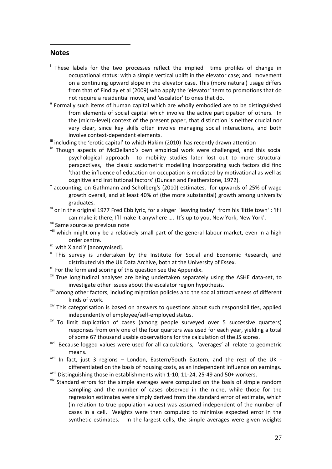### **Notes**

1

- <sup>i</sup> These labels for the two processes reflect the implied time profiles of change in occupational status: with a simple vertical uplift in the elevator case; and movement on a continuing upward slope in the elevator case. This (more natural) usage differs from that of Findlay et al (2009) who apply the 'elevator' term to promotions that do not require a residential move, and 'escalator' to ones that do.
- <sup>ii</sup> Formally such items of human capital which are wholly embodied are to be distinguished from elements of social capital which involve the active participation of others. In the (micro-level) context of the present paper, that distinction is neither crucial nor very clear, since key skills often involve managing social interactions, and both involve context-dependent elements.
- $\mathbf{u}$  including the 'erotic capital' to which Hakim (2010) has recently drawn attention
- iv Though aspects of McClelland's own empirical work were challenged, and this social psychological approach to mobility studies later lost out to more structural perspectives, the classic sociometric modelling incorporating such factors did find 'that the influence of education on occupation is mediated by motivational as well as cognitive and institutional factors' (Duncan and Featherstone, 1972).
- <sup>v</sup> accounting, on Gathmann and Scholberg's (2010) estimates, for upwards of 25% of wage growth overall, and at least 40% of (the more substantial) growth among university graduates.
- $\sigma$ <sup>i</sup> or in the original 1977 Fred Ebb lyric, for a singer 'leaving today' from his 'little town' : 'If I can make it there, I'll make it anywhere …. It's up to you, New York, New York'.
- vii Same source as previous note
- viii which might only be a relatively small part of the general labour market, even in a high order centre.
- <sup>ix</sup> with X and Y [anonymised].
- <sup>x</sup> This survey is undertaken by the Institute for Social and Economic Research, and distributed via the UK Data Archive, both at the University of Essex.
- <sup>xi</sup> For the form and scoring of this question see the Appendix.
- <sup>xii</sup> True longitudinal analyses are being undertaken separately using the ASHE data-set, to investigate other issues about the escalator region hypothesis.
- xiii among other factors, including migration policies and the social attractiveness of different kinds of work.
- xiv This categorisation is based on answers to questions about such responsibilities, applied independently of employee/self-employed status.
- $x^2$  To limit duplication of cases (among people surveyed over 5 successive quarters) responses from only one of the four quarters was used for each year, yielding a total of some 67 thousand usable observations for the calculation of the JS scores.
- <sup>xvi</sup> Because logged values were used for all calculations, 'averages' all relate to geometric means.
- In fact, just 3 regions London, Eastern/South Eastern, and the rest of the UK differentiated on the basis of housing costs, as an independent influence on earnings.
- Distinguishing those in establishments with 1-10, 11-24, 25-49 and 50+ workers.
- $x$ <sup>xix</sup> Standard errors for the simple averages were computed on the basis of simple random sampling and the number of cases observed in the niche, while those for the regression estimates were simply derived from the standard error of estimate, which (in relation to true population values) was assumed independent of the number of cases in a cell. Weights were then computed to minimise expected error in the synthetic estimates. In the largest cells, the simple averages were given weights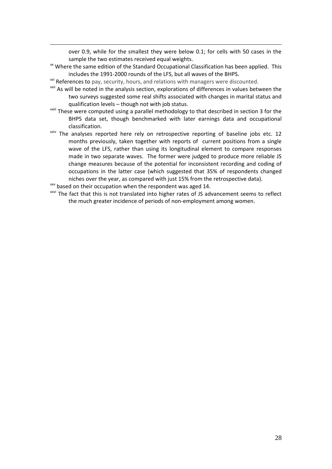over 0.9, while for the smallest they were below 0.1; for cells with 50 cases in the sample the two estimates received equal weights.

 $\alpha$  Where the same edition of the Standard Occupational Classification has been applied. This includes the 1991-2000 rounds of the LFS, but all waves of the BHPS.

xxi References to pay, security, hours, and relations with managers were discounted.

- <sup>xxii</sup> As will be noted in the analysis section, explorations of differences in values between the two surveys suggested some real shifts associated with changes in marital status and qualification levels – though not with job status.
- xxiii These were computed using a parallel methodology to that described in section 3 for the BHPS data set, though benchmarked with later earnings data and occupational classification.
- xxiv The analyses reported here rely on retrospective reporting of baseline jobs etc. 12 months previously, taken together with reports of current positions from a single wave of the LFS, rather than using its longitudinal element to compare responses made in two separate waves. The former were judged to produce more reliable JS change measures because of the potential for inconsistent recording and coding of occupations in the latter case (which suggested that 35% of respondents changed niches over the year, as compared with just 15% from the retrospective data).

xxv based on their occupation when the respondent was aged 14.

1

xxvi The fact that this is not translated into higher rates of JS advancement seems to reflect the much greater incidence of periods of non-employment among women.